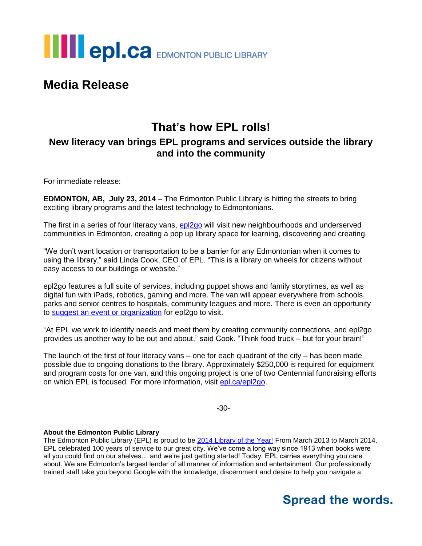

## **Media Release**

#### **That's how EPL rolls! New literacy van brings EPL programs and services outside the library and into the community**

For immediate release:

**EDMONTON, AB, July 23, 2014** – The Edmonton Public Library is hitting the streets to bring exciting library programs and the latest technology to Edmontonians.

The first in a series of four literacy vans, [epl2go](http://www.epl.ca/epl2go) will visit new neighbourhoods and underserved communities in Edmonton, creating a pop up library space for learning, discovering and creating.

"We don't want location or transportation to be a barrier for any Edmontonian when it comes to using the library," said Linda Cook, CEO of EPL. "This is a library on wheels for citizens without easy access to our buildings or website."

epl2go features a full suite of services, including puppet shows and family storytimes, as well as digital fun with iPads, robotics, gaming and more. The van will appear everywhere from schools, parks and senior centres to hospitals, community leagues and more. There is even an opportunity to [suggest an event or organization](http://www.epl.ca/epl2go?tab=5) for epl2go to visit.

"At EPL we work to identify needs and meet them by creating community connections, and epl2go provides us another way to be out and about," said Cook. "Think food truck – but for your brain!"

The launch of the first of four literacy vans  $-$  one for each quadrant of the city  $-$  has been made possible due to ongoing donations to the library. Approximately \$250,000 is required for equipment and program costs for one van, and this ongoing project is one of two Centennial fundraising efforts on which EPL is focused. For more information, visit [epl.ca/epl2go.](http://www.epl.ca/epl2go?tab=4)

-30-

#### **About the Edmonton Public Library**

The Edmonton Public Library (EPL) is proud to be [2014 Library of the Year!](http://www.epl.ca/libraryoftheyear) From March 2013 to March 2014, EPL celebrated 100 years of service to our great city. We've come a long way since 1913 when books were all you could find on our shelves… and we're just getting started! Today, EPL carries everything you care about. We are Edmonton's largest lender of all manner of information and entertainment. Our professionally trained staff take you beyond Google with the knowledge, discernment and desire to help you navigate a

# **Spread the words.**